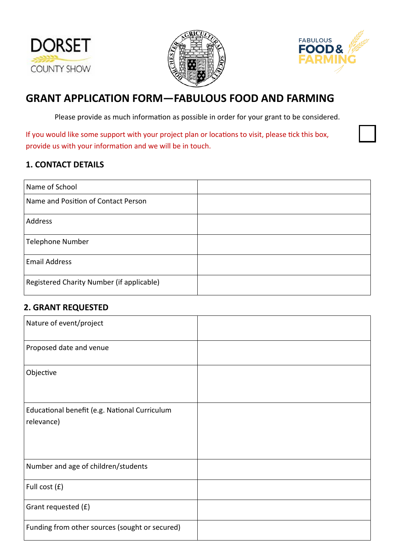





# **GRANT APPLICATION FORM—FABULOUS FOOD AND FARMING**

Please provide as much information as possible in order for your grant to be considered.

If you would like some support with your project plan or locations to visit, please tick this box, provide us with your information and we will be in touch.

### **1. CONTACT DETAILS**

| Name of School                            |  |
|-------------------------------------------|--|
| Name and Position of Contact Person       |  |
| Address                                   |  |
| <b>Telephone Number</b>                   |  |
| <b>Email Address</b>                      |  |
| Registered Charity Number (if applicable) |  |

### **2. GRANT REQUESTED**

| Nature of event/project                        |  |
|------------------------------------------------|--|
| Proposed date and venue                        |  |
| Objective                                      |  |
| Educational benefit (e.g. National Curriculum  |  |
| relevance)                                     |  |
|                                                |  |
| Number and age of children/students            |  |
| Full cost (£)                                  |  |
| Grant requested (£)                            |  |
| Funding from other sources (sought or secured) |  |